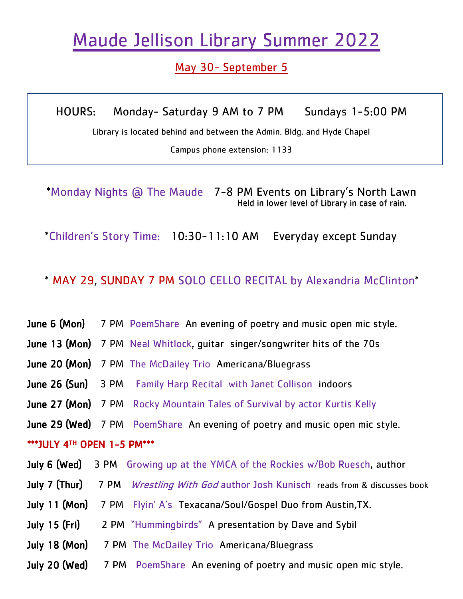# Maude Jellison Library Summer 2022

## May 30- September 5

HOURS: Monday- Saturday 9 AM to 7 PM Sundays 1-5:00 PM

Library is located behind and between the Admin. Bldg. and Hyde Chapel

Campus phone extension: 1133

\*Monday Nights @ The Maude 7-8 PM Events on Library's North Lawn Held in lower level of Library in case of rain.

Ī

\*Children's Story Time: 10:30-11:10 AM Everyday except Sunday

### \* MAY 29, SUNDAY 7 PM SOLO CELLO RECITAL by Alexandria McClinton\*

- June 6 (Mon) 7 PM PoemShare An evening of poetry and music open mic style.
- June 13 (Mon) 7 PM Neal Whitlock, guitar singer/songwriter hits of the 70s
- June 20 (Mon) 7 PM The McDailey Trio Americana/Bluegrass
- **June 26 (Sun)** 3 PM Family Harp Recital with Janet Collison indoors
- **June 27 (Mon)** 7 PM Rocky Mountain Tales of Survival by actor Kurtis Kelly
- **June 29 (Wed)** 7 PM PoemShare An evening of poetry and music open mic style.

#### \*\*\*JULY 4TH OPEN 1-5 PM\*\*\*

- **July 6 (Wed)** 3 PM Growing up at the YMCA of the Rockies w/Bob Ruesch, author
- **July 7 (Thur)** 7 PM *Wrestling With God* author Josh Kunisch reads from & discusses book
- July 11 (Mon) 7 PM Flyin' A's Texacana/Soul/Gospel Duo from Austin, TX.
- July 15 (Fri) 2 PM "Hummingbirds" A presentation by Dave and Sybil
- July 18 (Mon) 7 PM The McDailey Trio Americana/Bluegrass
- **July 20 (Wed)** 7 PM PoemShare An evening of poetry and music open mic style.